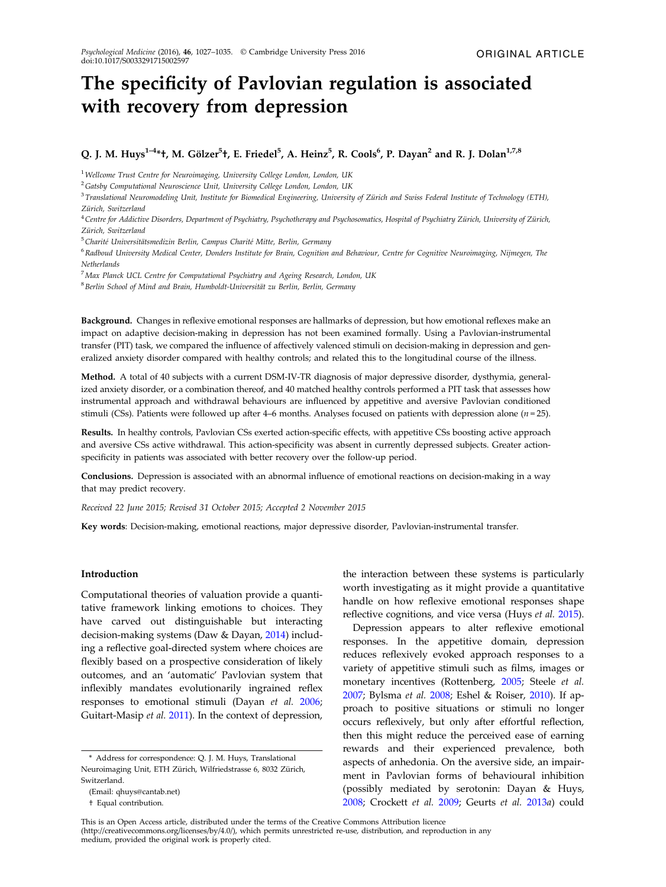# The specificity of Pavlovian regulation is associated with recovery from depression

# Q. J. M. Huys $^{1-4*}$ t, M. Gölzer $^{5}$ t, E. Friedel $^{5}$ , A. Heinz $^{5}$ , R. Cools $^{6}$ , P. Dayan $^{2}$  and R. J. Dolan $^{1,7,8}$

<sup>1</sup> Wellcome Trust Centre for Neuroimaging, University College London, London, UK

<sup>2</sup> Gatsby Computational Neuroscience Unit, University College London, London, UK

<sup>3</sup>Translational Neuromodeling Unit, Institute for Biomedical Engineering, University of Zürich and Swiss Federal Institute of Technology (ETH), Zürich, Switzerland

<sup>4</sup>Centre for Addictive Disorders, Department of Psychiatry, Psychotherapy and Psychosomatics, Hospital of Psychiatry Zürich, University of Zürich, Zürich, Switzerland

<sup>5</sup>Charité Universitätsmedizin Berlin, Campus Charité Mitte, Berlin, Germany

<sup>6</sup> Radboud University Medical Center, Donders Institute for Brain, Cognition and Behaviour, Centre for Cognitive Neuroimaging, Nijmegen, The **Netherlands** 

<sup>7</sup>Max Planck UCL Centre for Computational Psychiatry and Ageing Research, London, UK

<sup>8</sup> Berlin School of Mind and Brain, Humboldt-Universität zu Berlin, Berlin, Germany

Background. Changes in reflexive emotional responses are hallmarks of depression, but how emotional reflexes make an impact on adaptive decision-making in depression has not been examined formally. Using a Pavlovian-instrumental transfer (PIT) task, we compared the influence of affectively valenced stimuli on decision-making in depression and generalized anxiety disorder compared with healthy controls; and related this to the longitudinal course of the illness.

Method. A total of 40 subjects with a current DSM-IV-TR diagnosis of major depressive disorder, dysthymia, generalized anxiety disorder, or a combination thereof, and 40 matched healthy controls performed a PIT task that assesses how instrumental approach and withdrawal behaviours are influenced by appetitive and aversive Pavlovian conditioned stimuli (CSs). Patients were followed up after 4–6 months. Analyses focused on patients with depression alone ( $n = 25$ ).

Results. In healthy controls, Pavlovian CSs exerted action-specific effects, with appetitive CSs boosting active approach and aversive CSs active withdrawal. This action-specificity was absent in currently depressed subjects. Greater actionspecificity in patients was associated with better recovery over the follow-up period.

Conclusions. Depression is associated with an abnormal influence of emotional reactions on decision-making in a way that may predict recovery.

Received 22 June 2015; Revised 31 October 2015; Accepted 2 November 2015

Key words: Decision-making, emotional reactions, major depressive disorder, Pavlovian-instrumental transfer.

## Introduction

Computational theories of valuation provide a quantitative framework linking emotions to choices. They have carved out distinguishable but interacting decision-making systems (Daw & Dayan, [2014\)](#page-8-0) including a reflective goal-directed system where choices are flexibly based on a prospective consideration of likely outcomes, and an 'automatic' Pavlovian system that inflexibly mandates evolutionarily ingrained reflex responses to emotional stimuli (Dayan et al. [2006](#page-8-0); Guitart-Masip et al. [2011](#page-8-0)). In the context of depression,

the interaction between these systems is particularly worth investigating as it might provide a quantitative handle on how reflexive emotional responses shape reflective cognitions, and vice versa (Huys et al. [2015](#page-8-0)).

Depression appears to alter reflexive emotional responses. In the appetitive domain, depression reduces reflexively evoked approach responses to a variety of appetitive stimuli such as films, images or monetary incentives (Rottenberg, [2005;](#page-8-0) Steele et al. [2007;](#page-8-0) Bylsma et al. [2008;](#page-8-0) Eshel & Roiser, [2010\)](#page-8-0). If approach to positive situations or stimuli no longer occurs reflexively, but only after effortful reflection, then this might reduce the perceived ease of earning rewards and their experienced prevalence, both aspects of anhedonia. On the aversive side, an impairment in Pavlovian forms of behavioural inhibition (possibly mediated by serotonin: Dayan & Huys, [2008;](#page-8-0) Crockett et al. [2009](#page-8-0); Geurts et al. [2013](#page-8-0)a) could

<sup>\*</sup> Address for correspondence: Q. J. M. Huys, Translational Neuroimaging Unit, ETH Zürich, Wilfriedstrasse 6, 8032 Zürich, Switzerland.

<sup>(</sup>Email: qhuys@cantab.net)

<sup>†</sup> Equal contribution.

This is an Open Access article, distributed under the terms of the Creative Commons Attribution licence (http://creativecommons.org/licenses/by/4.0/), which permits unrestricted re-use, distribution, and reproduction in any medium, provided the original work is properly cited.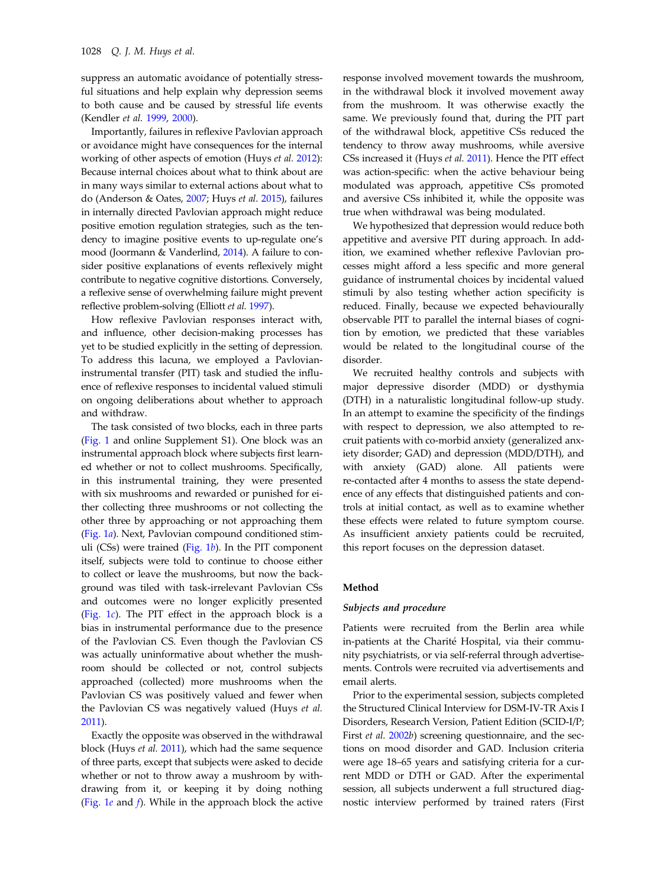suppress an automatic avoidance of potentially stressful situations and help explain why depression seems to both cause and be caused by stressful life events (Kendler et al. [1999,](#page-8-0) [2000](#page-8-0)).

Importantly, failures in reflexive Pavlovian approach or avoidance might have consequences for the internal working of other aspects of emotion (Huys et al. [2012](#page-8-0)): Because internal choices about what to think about are in many ways similar to external actions about what to do (Anderson & Oates, [2007;](#page-7-0) Huys et al. [2015\)](#page-8-0), failures in internally directed Pavlovian approach might reduce positive emotion regulation strategies, such as the tendency to imagine positive events to up-regulate one's mood (Joormann & Vanderlind, [2014](#page-8-0)). A failure to consider positive explanations of events reflexively might contribute to negative cognitive distortions. Conversely, a reflexive sense of overwhelming failure might prevent reflective problem-solving (Elliott et al. [1997](#page-8-0)).

How reflexive Pavlovian responses interact with, and influence, other decision-making processes has yet to be studied explicitly in the setting of depression. To address this lacuna, we employed a Pavlovianinstrumental transfer (PIT) task and studied the influence of reflexive responses to incidental valued stimuli on ongoing deliberations about whether to approach and withdraw.

The task consisted of two blocks, each in three parts ([Fig. 1](#page-2-0) and online Supplement S1). One block was an instrumental approach block where subjects first learned whether or not to collect mushrooms. Specifically, in this instrumental training, they were presented with six mushrooms and rewarded or punished for either collecting three mushrooms or not collecting the other three by approaching or not approaching them ([Fig. 1](#page-2-0)a). Next, Pavlovian compound conditioned stimuli (CSs) were trained (Fig.  $1b$ ). In the PIT component itself, subjects were told to continue to choose either to collect or leave the mushrooms, but now the background was tiled with task-irrelevant Pavlovian CSs and outcomes were no longer explicitly presented ([Fig. 1](#page-2-0)c). The PIT effect in the approach block is a bias in instrumental performance due to the presence of the Pavlovian CS. Even though the Pavlovian CS was actually uninformative about whether the mushroom should be collected or not, control subjects approached (collected) more mushrooms when the Pavlovian CS was positively valued and fewer when the Pavlovian CS was negatively valued (Huys et al. [2011\)](#page-8-0).

Exactly the opposite was observed in the withdrawal block (Huys et al. [2011](#page-8-0)), which had the same sequence of three parts, except that subjects were asked to decide whether or not to throw away a mushroom by withdrawing from it, or keeping it by doing nothing ([Fig. 1](#page-2-0)e and  $f$ ). While in the approach block the active

response involved movement towards the mushroom, in the withdrawal block it involved movement away from the mushroom. It was otherwise exactly the same. We previously found that, during the PIT part of the withdrawal block, appetitive CSs reduced the tendency to throw away mushrooms, while aversive CSs increased it (Huys et al. [2011\)](#page-8-0). Hence the PIT effect was action-specific: when the active behaviour being modulated was approach, appetitive CSs promoted and aversive CSs inhibited it, while the opposite was true when withdrawal was being modulated.

We hypothesized that depression would reduce both appetitive and aversive PIT during approach. In addition, we examined whether reflexive Pavlovian processes might afford a less specific and more general guidance of instrumental choices by incidental valued stimuli by also testing whether action specificity is reduced. Finally, because we expected behaviourally observable PIT to parallel the internal biases of cognition by emotion, we predicted that these variables would be related to the longitudinal course of the disorder.

We recruited healthy controls and subjects with major depressive disorder (MDD) or dysthymia (DTH) in a naturalistic longitudinal follow-up study. In an attempt to examine the specificity of the findings with respect to depression, we also attempted to recruit patients with co-morbid anxiety (generalized anxiety disorder; GAD) and depression (MDD/DTH), and with anxiety (GAD) alone. All patients were re-contacted after 4 months to assess the state dependence of any effects that distinguished patients and controls at initial contact, as well as to examine whether these effects were related to future symptom course. As insufficient anxiety patients could be recruited, this report focuses on the depression dataset.

#### Method

#### Subjects and procedure

Patients were recruited from the Berlin area while in-patients at the Charité Hospital, via their community psychiatrists, or via self-referral through advertisements. Controls were recruited via advertisements and email alerts.

Prior to the experimental session, subjects completed the Structured Clinical Interview for DSM-IV-TR Axis I Disorders, Research Version, Patient Edition (SCID-I/P; First et al. [2002](#page-8-0)b) screening questionnaire, and the sections on mood disorder and GAD. Inclusion criteria were age 18–65 years and satisfying criteria for a current MDD or DTH or GAD. After the experimental session, all subjects underwent a full structured diagnostic interview performed by trained raters (First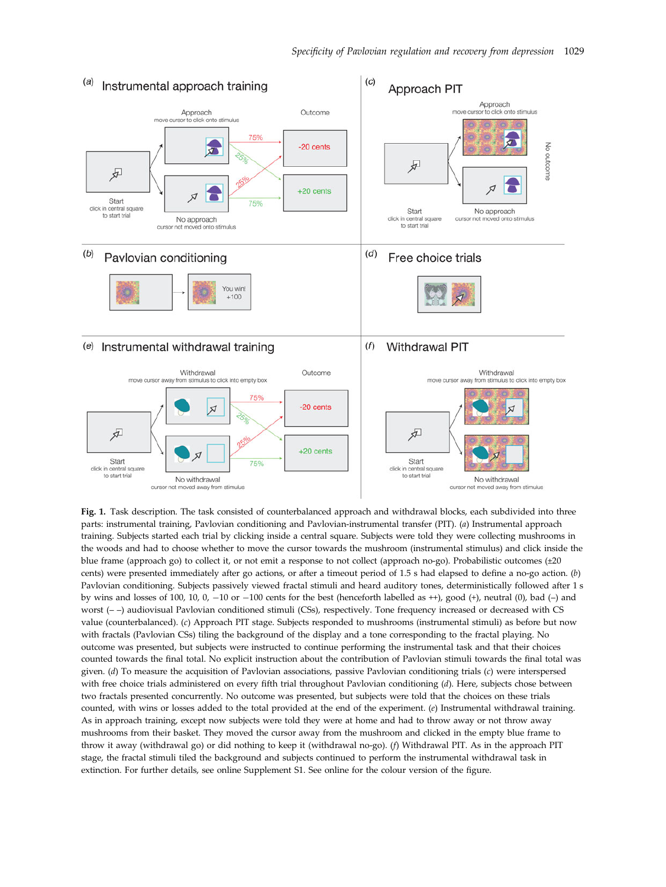<span id="page-2-0"></span>

Fig. 1. Task description. The task consisted of counterbalanced approach and withdrawal blocks, each subdivided into three parts: instrumental training, Pavlovian conditioning and Pavlovian-instrumental transfer (PIT). (a) Instrumental approach training. Subjects started each trial by clicking inside a central square. Subjects were told they were collecting mushrooms in the woods and had to choose whether to move the cursor towards the mushroom (instrumental stimulus) and click inside the blue frame (approach go) to collect it, or not emit a response to not collect (approach no-go). Probabilistic outcomes (±20 cents) were presented immediately after go actions, or after a timeout period of 1.5 s had elapsed to define a no-go action. (b) Pavlovian conditioning. Subjects passively viewed fractal stimuli and heard auditory tones, deterministically followed after 1 s by wins and losses of 100, 10, 0, −10 or −100 cents for the best (henceforth labelled as ++), good (+), neutral (0), bad (–) and worst (--) audiovisual Pavlovian conditioned stimuli (CSs), respectively. Tone frequency increased or decreased with CS value (counterbalanced). (c) Approach PIT stage. Subjects responded to mushrooms (instrumental stimuli) as before but now with fractals (Pavlovian CSs) tiling the background of the display and a tone corresponding to the fractal playing. No outcome was presented, but subjects were instructed to continue performing the instrumental task and that their choices counted towards the final total. No explicit instruction about the contribution of Pavlovian stimuli towards the final total was given. (d) To measure the acquisition of Pavlovian associations, passive Pavlovian conditioning trials (c) were interspersed with free choice trials administered on every fifth trial throughout Pavlovian conditioning (d). Here, subjects chose between two fractals presented concurrently. No outcome was presented, but subjects were told that the choices on these trials counted, with wins or losses added to the total provided at the end of the experiment. (e) Instrumental withdrawal training. As in approach training, except now subjects were told they were at home and had to throw away or not throw away mushrooms from their basket. They moved the cursor away from the mushroom and clicked in the empty blue frame to throw it away (withdrawal go) or did nothing to keep it (withdrawal no-go). (f) Withdrawal PIT. As in the approach PIT stage, the fractal stimuli tiled the background and subjects continued to perform the instrumental withdrawal task in extinction. For further details, see online Supplement S1. See online for the colour version of the figure.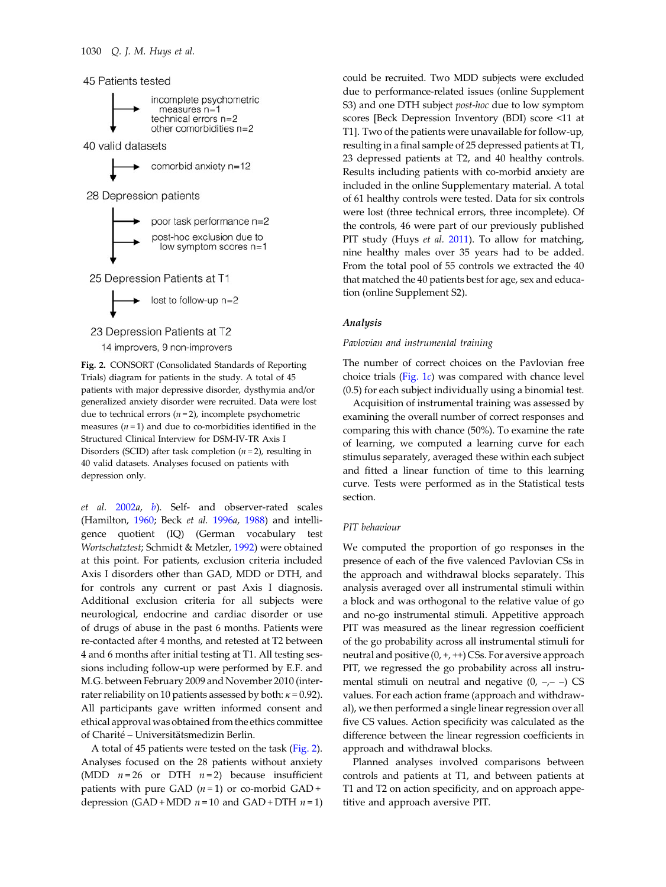45 Patients tested



40 valid datasets



28 Depression patients



25 Depression Patients at T1



# 23 Depression Patients at T2

14 improvers, 9 non-improvers

Fig. 2. CONSORT (Consolidated Standards of Reporting Trials) diagram for patients in the study. A total of 45 patients with major depressive disorder, dysthymia and/or generalized anxiety disorder were recruited. Data were lost due to technical errors  $(n=2)$ , incomplete psychometric measures  $(n=1)$  and due to co-morbidities identified in the Structured Clinical Interview for DSM-IV-TR Axis I Disorders (SCID) after task completion  $(n=2)$ , resulting in 40 valid datasets. Analyses focused on patients with depression only.

et al. [2002](#page-8-0)a, [b](#page-8-0)). Self- and observer-rated scales (Hamilton, [1960;](#page-8-0) Beck et al. [1996](#page-7-0)a, [1988\)](#page-7-0) and intelligence quotient (IQ) (German vocabulary test Wortschatztest; Schmidt & Metzler, [1992](#page-8-0)) were obtained at this point. For patients, exclusion criteria included Axis I disorders other than GAD, MDD or DTH, and for controls any current or past Axis I diagnosis. Additional exclusion criteria for all subjects were neurological, endocrine and cardiac disorder or use of drugs of abuse in the past 6 months. Patients were re-contacted after 4 months, and retested at T2 between 4 and 6 months after initial testing at T1. All testing sessions including follow-up were performed by E.F. and M.G. between February 2009 and November 2010 (interrater reliability on 10 patients assessed by both:  $\kappa$  = 0.92). All participants gave written informed consent and ethical approval was obtained from the ethics committee of Charité – Universitätsmedizin Berlin.

A total of 45 patients were tested on the task (Fig. 2). Analyses focused on the 28 patients without anxiety (MDD  $n = 26$  or DTH  $n = 2$ ) because insufficient patients with pure GAD  $(n=1)$  or co-morbid GAD+ depression (GAD + MDD  $n = 10$  and GAD + DTH  $n = 1$ )

could be recruited. Two MDD subjects were excluded due to performance-related issues (online Supplement S3) and one DTH subject *post-hoc* due to low symptom scores [Beck Depression Inventory (BDI) score <11 at T1]. Two of the patients were unavailable for follow-up, resulting in a final sample of 25 depressed patients at T1, 23 depressed patients at T2, and 40 healthy controls. Results including patients with co-morbid anxiety are included in the online Supplementary material. A total of 61 healthy controls were tested. Data for six controls were lost (three technical errors, three incomplete). Of the controls, 46 were part of our previously published PIT study (Huys et al. [2011](#page-8-0)). To allow for matching, nine healthy males over 35 years had to be added. From the total pool of 55 controls we extracted the 40 that matched the 40 patients best for age, sex and education (online Supplement S2).

## Analysis

#### Pavlovian and instrumental training

The number of correct choices on the Pavlovian free choice trials ([Fig. 1](#page-2-0)c) was compared with chance level (0.5) for each subject individually using a binomial test.

Acquisition of instrumental training was assessed by examining the overall number of correct responses and comparing this with chance (50%). To examine the rate of learning, we computed a learning curve for each stimulus separately, averaged these within each subject and fitted a linear function of time to this learning curve. Tests were performed as in the Statistical tests section.

## PIT behaviour

We computed the proportion of go responses in the presence of each of the five valenced Pavlovian CSs in the approach and withdrawal blocks separately. This analysis averaged over all instrumental stimuli within a block and was orthogonal to the relative value of go and no-go instrumental stimuli. Appetitive approach PIT was measured as the linear regression coefficient of the go probability across all instrumental stimuli for neutral and positive  $(0, +, ++)$  CSs. For aversive approach PIT, we regressed the go probability across all instrumental stimuli on neutral and negative  $(0, -,-)$  CS values. For each action frame (approach and withdrawal), we then performed a single linear regression over all five CS values. Action specificity was calculated as the difference between the linear regression coefficients in approach and withdrawal blocks.

Planned analyses involved comparisons between controls and patients at T1, and between patients at T1 and T2 on action specificity, and on approach appetitive and approach aversive PIT.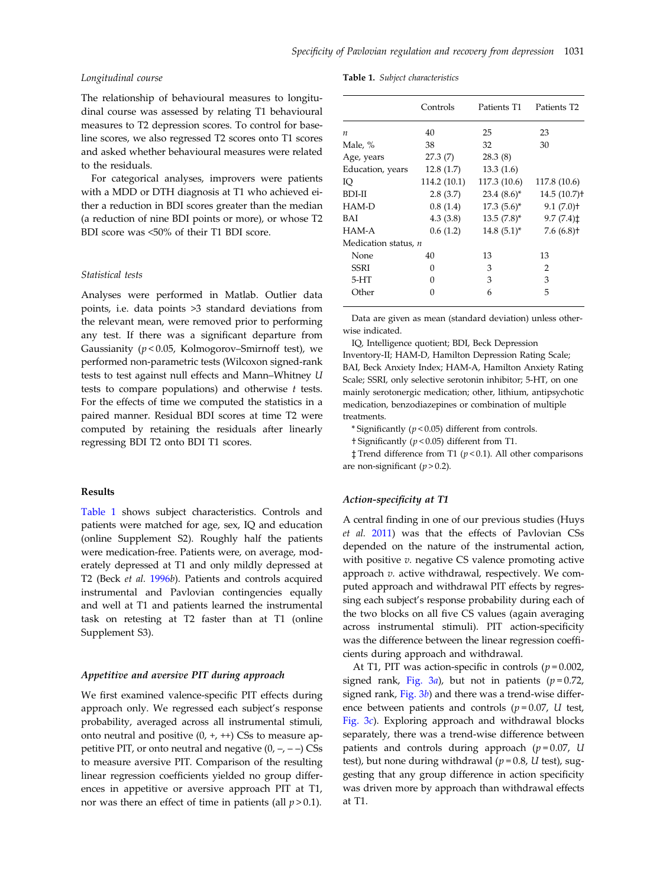#### Longitudinal course

The relationship of behavioural measures to longitudinal course was assessed by relating T1 behavioural measures to T2 depression scores. To control for baseline scores, we also regressed T2 scores onto T1 scores and asked whether behavioural measures were related to the residuals.

For categorical analyses, improvers were patients with a MDD or DTH diagnosis at T1 who achieved either a reduction in BDI scores greater than the median (a reduction of nine BDI points or more), or whose T2 BDI score was <50% of their T1 BDI score.

## Statistical tests

Analyses were performed in Matlab. Outlier data points, i.e. data points >3 standard deviations from the relevant mean, were removed prior to performing any test. If there was a significant departure from Gaussianity ( $p < 0.05$ , Kolmogorov–Smirnoff test), we performed non-parametric tests (Wilcoxon signed-rank tests to test against null effects and Mann–Whitney U tests to compare populations) and otherwise  $t$  tests. For the effects of time we computed the statistics in a paired manner. Residual BDI scores at time T2 were computed by retaining the residuals after linearly regressing BDI T2 onto BDI T1 scores.

## Results

Table 1 shows subject characteristics. Controls and patients were matched for age, sex, IQ and education (online Supplement S2). Roughly half the patients were medication-free. Patients were, on average, moderately depressed at T1 and only mildly depressed at T2 (Beck et al. [1996](#page-7-0)b). Patients and controls acquired instrumental and Pavlovian contingencies equally and well at T1 and patients learned the instrumental task on retesting at T2 faster than at T1 (online Supplement S3).

## Appetitive and aversive PIT during approach

We first examined valence-specific PIT effects during approach only. We regressed each subject's response probability, averaged across all instrumental stimuli, onto neutral and positive  $(0, +, ++)$  CSs to measure appetitive PIT, or onto neutral and negative  $(0, -, -)$  CSs to measure aversive PIT. Comparison of the resulting linear regression coefficients yielded no group differences in appetitive or aversive approach PIT at T1, nor was there an effect of time in patients (all  $p > 0.1$ ).

Table 1. Subject characteristics

|                      | Controls     | Patients T1     | Patients T <sub>2</sub>   |
|----------------------|--------------|-----------------|---------------------------|
| $\boldsymbol{n}$     | 40           | 25              | 23                        |
| Male, %              | 38           | 32              | 30                        |
| Age, years           | 27.3(7)      | 28.3(8)         |                           |
| Education, years     | 12.8(1.7)    | 13.3(1.6)       |                           |
| Ю                    | 114.2 (10.1) | 117.3 (10.6)    | 117.8 (10.6)              |
| <b>BDI-II</b>        | 2.8(3.7)     | $23.4(8.6)^*$   | $14.5(10.7)$ <sup>+</sup> |
| HAM-D                | 0.8(1.4)     | $17.3(5.6)^{*}$ | $9.1(7.0)$ <sup>+</sup>   |
| BAI                  | 4.3(3.8)     | $13.5(7.8)^*$   | $9.7(7.4)$ <sup>±</sup>   |
| HAM-A                | 0.6(1.2)     | $14.8(5.1)^{*}$ | $7.6(6.8)$ <sup>+</sup>   |
| Medication status, n |              |                 |                           |
| None                 | 40           | 13              | 13                        |
| SSRI                 | 0            | 3               | $\overline{2}$            |
| $5-HT$               | 0            | 3               | 3                         |
| Other                | 0            | 6               | 5                         |

Data are given as mean (standard deviation) unless otherwise indicated.

IQ, Intelligence quotient; BDI, Beck Depression Inventory-II; HAM-D, Hamilton Depression Rating Scale; BAI, Beck Anxiety Index; HAM-A, Hamilton Anxiety Rating Scale; SSRI, only selective serotonin inhibitor; 5-HT, on one mainly serotonergic medication; other, lithium, antipsychotic medication, benzodiazepines or combination of multiple treatments.

\* Significantly  $(p < 0.05)$  different from controls.

 $\dagger$  Significantly ( $p < 0.05$ ) different from T1.

 $\ddagger$  Trend difference from T1 ( $p$  < 0.1). All other comparisons are non-significant  $(p > 0.2)$ .

#### Action-specificity at T1

A central finding in one of our previous studies (Huys et al. [2011\)](#page-8-0) was that the effects of Pavlovian CSs depended on the nature of the instrumental action, with positive  $v$ . negative CS valence promoting active approach  $v$ . active withdrawal, respectively. We computed approach and withdrawal PIT effects by regressing each subject's response probability during each of the two blocks on all five CS values (again averaging across instrumental stimuli). PIT action-specificity was the difference between the linear regression coefficients during approach and withdrawal.

At T1, PIT was action-specific in controls ( $p = 0.002$ , signed rank, [Fig. 3](#page-5-0)a), but not in patients ( $p = 0.72$ , signed rank, Fig.  $3b$ ) and there was a trend-wise difference between patients and controls ( $p = 0.07$ , U test, [Fig. 3](#page-5-0)c). Exploring approach and withdrawal blocks separately, there was a trend-wise difference between patients and controls during approach ( $p = 0.07$ , U test), but none during withdrawal ( $p = 0.8$ , U test), suggesting that any group difference in action specificity was driven more by approach than withdrawal effects at T1.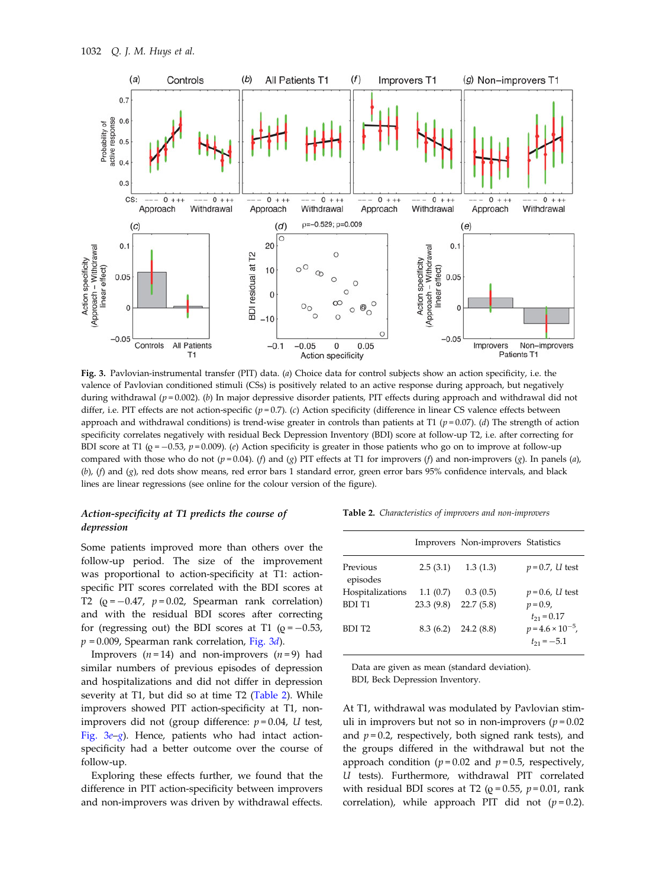<span id="page-5-0"></span>

Fig. 3. Pavlovian-instrumental transfer (PIT) data. (a) Choice data for control subjects show an action specificity, i.e. the valence of Pavlovian conditioned stimuli (CSs) is positively related to an active response during approach, but negatively during withdrawal ( $p = 0.002$ ). (b) In major depressive disorder patients, PIT effects during approach and withdrawal did not differ, i.e. PIT effects are not action-specific ( $p = 0.7$ ). (c) Action specificity (difference in linear CS valence effects between approach and withdrawal conditions) is trend-wise greater in controls than patients at T1 ( $p = 0.07$ ). (d) The strength of action specificity correlates negatively with residual Beck Depression Inventory (BDI) score at follow-up T2, i.e. after correcting for BDI score at T1 ( $\varrho = -0.53$ ,  $p = 0.009$ ). (e) Action specificity is greater in those patients who go on to improve at follow-up compared with those who do not ( $p = 0.04$ ). (f) and (g) PIT effects at T1 for improvers (f) and non-improvers (g). In panels (a), (b), (f) and (g), red dots show means, red error bars 1 standard error, green error bars 95% confidence intervals, and black lines are linear regressions (see online for the colour version of the figure).

# Action-specificity at T1 predicts the course of depression

Some patients improved more than others over the follow-up period. The size of the improvement was proportional to action-specificity at T1: actionspecific PIT scores correlated with the BDI scores at T2 ( $\varrho = -0.47$ ,  $p = 0.02$ , Spearman rank correlation) and with the residual BDI scores after correcting for (regressing out) the BDI scores at T1 ( $\varrho = -0.53$ ,  $p = 0.009$ , Spearman rank correlation, Fig. 3d).

Improvers ( $n = 14$ ) and non-improvers ( $n = 9$ ) had similar numbers of previous episodes of depression and hospitalizations and did not differ in depression severity at T1, but did so at time T2 (Table 2). While improvers showed PIT action-specificity at T1, nonimprovers did not (group difference:  $p = 0.04$ , U test, Fig.  $3e-g$ ). Hence, patients who had intact actionspecificity had a better outcome over the course of follow-up.

Exploring these effects further, we found that the difference in PIT action-specificity between improvers and non-improvers was driven by withdrawal effects.

Table 2. Characteristics of improvers and non-improvers

|                      |           | Improvers Non-improvers Statistics |                                                                  |
|----------------------|-----------|------------------------------------|------------------------------------------------------------------|
| Previous<br>episodes | 2.5(3.1)  | 1.3(1.3)                           | $p=0.7$ , U test                                                 |
| Hospitalizations     | 1.1(0.7)  | 0.3(0.5)                           | $p = 0.6$ , U test                                               |
| <b>BDI T1</b>        | 23.3(9.8) | 22.7(5.8)                          | $p = 0.9$ ,                                                      |
| BDI T <sub>2</sub>   | 8.3(6.2)  | 24.2(8.8)                          | $t_{21} = 0.17$<br>$p = 4.6 \times 10^{-5}$ ,<br>$t_{21} = -5.1$ |

Data are given as mean (standard deviation). BDI, Beck Depression Inventory.

At T1, withdrawal was modulated by Pavlovian stimuli in improvers but not so in non-improvers ( $p = 0.02$ ) and  $p = 0.2$ , respectively, both signed rank tests), and the groups differed in the withdrawal but not the approach condition ( $p = 0.02$  and  $p = 0.5$ , respectively, U tests). Furthermore, withdrawal PIT correlated with residual BDI scores at T2 ( $\rho = 0.55$ ,  $p = 0.01$ , rank correlation), while approach PIT did not  $(p=0.2)$ .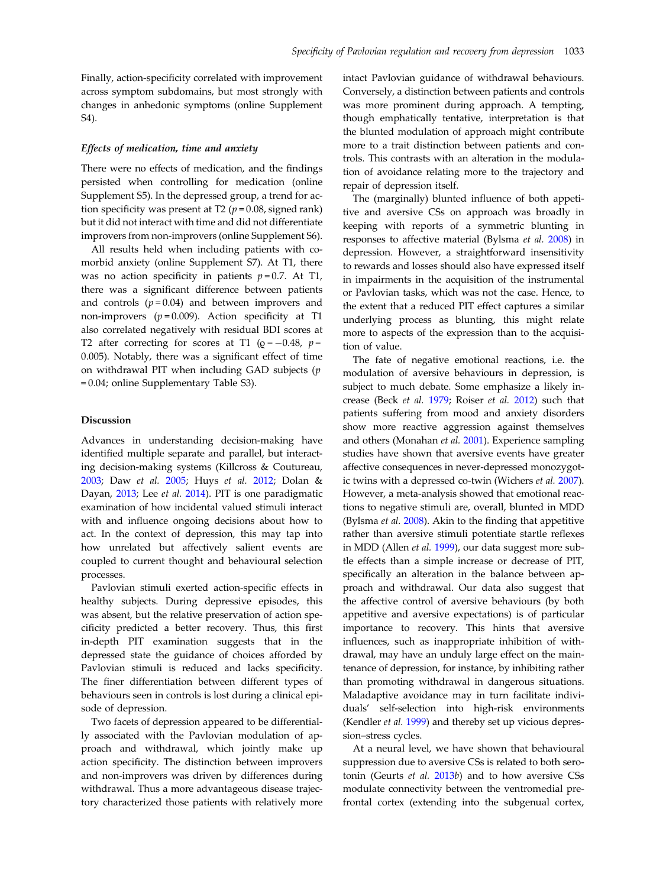Finally, action-specificity correlated with improvement across symptom subdomains, but most strongly with changes in anhedonic symptoms (online Supplement S4).

#### Effects of medication, time and anxiety

There were no effects of medication, and the findings persisted when controlling for medication (online Supplement S5). In the depressed group, a trend for action specificity was present at  $T2$  ( $p = 0.08$ , signed rank) but it did not interact with time and did not differentiate improvers from non-improvers (online Supplement S6).

All results held when including patients with comorbid anxiety (online Supplement S7). At T1, there was no action specificity in patients  $p = 0.7$ . At T1, there was a significant difference between patients and controls  $(p=0.04)$  and between improvers and non-improvers ( $p = 0.009$ ). Action specificity at T1 also correlated negatively with residual BDI scores at T2 after correcting for scores at T1 ( $\varrho = -0.48$ ,  $p =$ 0.005). Notably, there was a significant effect of time on withdrawal PIT when including GAD subjects (p = 0.04; online Supplementary Table S3).

## Discussion

Advances in understanding decision-making have identified multiple separate and parallel, but interacting decision-making systems (Killcross & Coutureau, [2003;](#page-8-0) Daw et al. [2005](#page-8-0); Huys et al. [2012;](#page-8-0) Dolan & Dayan, [2013;](#page-8-0) Lee et al. [2014\)](#page-8-0). PIT is one paradigmatic examination of how incidental valued stimuli interact with and influence ongoing decisions about how to act. In the context of depression, this may tap into how unrelated but affectively salient events are coupled to current thought and behavioural selection processes.

Pavlovian stimuli exerted action-specific effects in healthy subjects. During depressive episodes, this was absent, but the relative preservation of action specificity predicted a better recovery. Thus, this first in-depth PIT examination suggests that in the depressed state the guidance of choices afforded by Pavlovian stimuli is reduced and lacks specificity. The finer differentiation between different types of behaviours seen in controls is lost during a clinical episode of depression.

Two facets of depression appeared to be differentially associated with the Pavlovian modulation of approach and withdrawal, which jointly make up action specificity. The distinction between improvers and non-improvers was driven by differences during withdrawal. Thus a more advantageous disease trajectory characterized those patients with relatively more intact Pavlovian guidance of withdrawal behaviours. Conversely, a distinction between patients and controls was more prominent during approach. A tempting, though emphatically tentative, interpretation is that the blunted modulation of approach might contribute more to a trait distinction between patients and controls. This contrasts with an alteration in the modulation of avoidance relating more to the trajectory and repair of depression itself.

The (marginally) blunted influence of both appetitive and aversive CSs on approach was broadly in keeping with reports of a symmetric blunting in responses to affective material (Bylsma et al. [2008](#page-8-0)) in depression. However, a straightforward insensitivity to rewards and losses should also have expressed itself in impairments in the acquisition of the instrumental or Pavlovian tasks, which was not the case. Hence, to the extent that a reduced PIT effect captures a similar underlying process as blunting, this might relate more to aspects of the expression than to the acquisition of value.

The fate of negative emotional reactions, i.e. the modulation of aversive behaviours in depression, is subject to much debate. Some emphasize a likely increase (Beck et al. [1979](#page-7-0); Roiser et al. [2012\)](#page-8-0) such that patients suffering from mood and anxiety disorders show more reactive aggression against themselves and others (Monahan et al. [2001\)](#page-8-0). Experience sampling studies have shown that aversive events have greater affective consequences in never-depressed monozygotic twins with a depressed co-twin (Wichers et al. [2007](#page-8-0)). However, a meta-analysis showed that emotional reactions to negative stimuli are, overall, blunted in MDD (Bylsma et al. [2008](#page-8-0)). Akin to the finding that appetitive rather than aversive stimuli potentiate startle reflexes in MDD (Allen et al. [1999\)](#page-7-0), our data suggest more subtle effects than a simple increase or decrease of PIT, specifically an alteration in the balance between approach and withdrawal. Our data also suggest that the affective control of aversive behaviours (by both appetitive and aversive expectations) is of particular importance to recovery. This hints that aversive influences, such as inappropriate inhibition of withdrawal, may have an unduly large effect on the maintenance of depression, for instance, by inhibiting rather than promoting withdrawal in dangerous situations. Maladaptive avoidance may in turn facilitate individuals' self-selection into high-risk environments (Kendler et al. [1999](#page-8-0)) and thereby set up vicious depression–stress cycles.

At a neural level, we have shown that behavioural suppression due to aversive CSs is related to both serotonin (Geurts et al.  $2013b$  $2013b$ ) and to how aversive CSs modulate connectivity between the ventromedial prefrontal cortex (extending into the subgenual cortex,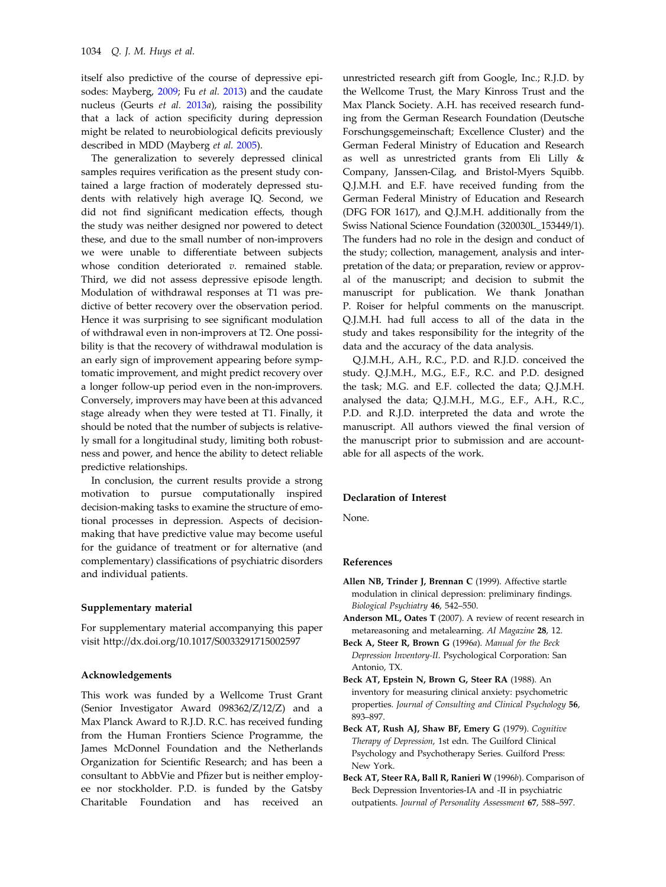<span id="page-7-0"></span>itself also predictive of the course of depressive episodes: Mayberg, [2009](#page-8-0); Fu et al. [2013\)](#page-8-0) and the caudate nucleus (Geurts et al. [2013](#page-8-0)a), raising the possibility that a lack of action specificity during depression might be related to neurobiological deficits previously described in MDD (Mayberg et al. [2005\)](#page-8-0).

The generalization to severely depressed clinical samples requires verification as the present study contained a large fraction of moderately depressed students with relatively high average IQ. Second, we did not find significant medication effects, though the study was neither designed nor powered to detect these, and due to the small number of non-improvers we were unable to differentiate between subjects whose condition deteriorated  $v$ . remained stable. Third, we did not assess depressive episode length. Modulation of withdrawal responses at T1 was predictive of better recovery over the observation period. Hence it was surprising to see significant modulation of withdrawal even in non-improvers at T2. One possibility is that the recovery of withdrawal modulation is an early sign of improvement appearing before symptomatic improvement, and might predict recovery over a longer follow-up period even in the non-improvers. Conversely, improvers may have been at this advanced stage already when they were tested at T1. Finally, it should be noted that the number of subjects is relatively small for a longitudinal study, limiting both robustness and power, and hence the ability to detect reliable predictive relationships.

In conclusion, the current results provide a strong motivation to pursue computationally inspired decision-making tasks to examine the structure of emotional processes in depression. Aspects of decisionmaking that have predictive value may become useful for the guidance of treatment or for alternative (and complementary) classifications of psychiatric disorders and individual patients.

## Supplementary material

For supplementary material accompanying this paper visit http://dx.doi.org/10.1017/S0033291715002597

#### Acknowledgements

This work was funded by a Wellcome Trust Grant (Senior Investigator Award 098362/Z/12/Z) and a Max Planck Award to R.J.D. R.C. has received funding from the Human Frontiers Science Programme, the James McDonnel Foundation and the Netherlands Organization for Scientific Research; and has been a consultant to AbbVie and Pfizer but is neither employee nor stockholder. P.D. is funded by the Gatsby Charitable Foundation and has received an

unrestricted research gift from Google, Inc.; R.J.D. by the Wellcome Trust, the Mary Kinross Trust and the Max Planck Society. A.H. has received research funding from the German Research Foundation (Deutsche Forschungsgemeinschaft; Excellence Cluster) and the German Federal Ministry of Education and Research as well as unrestricted grants from Eli Lilly & Company, Janssen-Cilag, and Bristol-Myers Squibb. Q.J.M.H. and E.F. have received funding from the German Federal Ministry of Education and Research (DFG FOR 1617), and Q.J.M.H. additionally from the Swiss National Science Foundation (320030L\_153449/1). The funders had no role in the design and conduct of the study; collection, management, analysis and interpretation of the data; or preparation, review or approval of the manuscript; and decision to submit the manuscript for publication. We thank Jonathan P. Roiser for helpful comments on the manuscript. Q.J.M.H. had full access to all of the data in the study and takes responsibility for the integrity of the data and the accuracy of the data analysis.

Q.J.M.H., A.H., R.C., P.D. and R.J.D. conceived the study. Q.J.M.H., M.G., E.F., R.C. and P.D. designed the task; M.G. and E.F. collected the data; Q.J.M.H. analysed the data; Q.J.M.H., M.G., E.F., A.H., R.C., P.D. and R.J.D. interpreted the data and wrote the manuscript. All authors viewed the final version of the manuscript prior to submission and are accountable for all aspects of the work.

## Declaration of Interest

None.

## References

Allen NB, Trinder J, Brennan C (1999). Affective startle modulation in clinical depression: preliminary findings. Biological Psychiatry 46, 542–550.

Anderson ML, Oates T (2007). A review of recent research in metareasoning and metalearning. AI Magazine 28, 12.

- Beck A, Steer R, Brown G (1996a). Manual for the Beck Depression Inventory-II. Psychological Corporation: San Antonio, TX.
- Beck AT, Epstein N, Brown G, Steer RA (1988). An inventory for measuring clinical anxiety: psychometric properties. Journal of Consulting and Clinical Psychology 56, 893–897.
- Beck AT, Rush AJ, Shaw BF, Emery G (1979). Cognitive Therapy of Depression, 1st edn. The Guilford Clinical Psychology and Psychotherapy Series. Guilford Press: New York.
- Beck AT, Steer RA, Ball R, Ranieri W (1996b). Comparison of Beck Depression Inventories-IA and -II in psychiatric outpatients. Journal of Personality Assessment 67, 588–597.